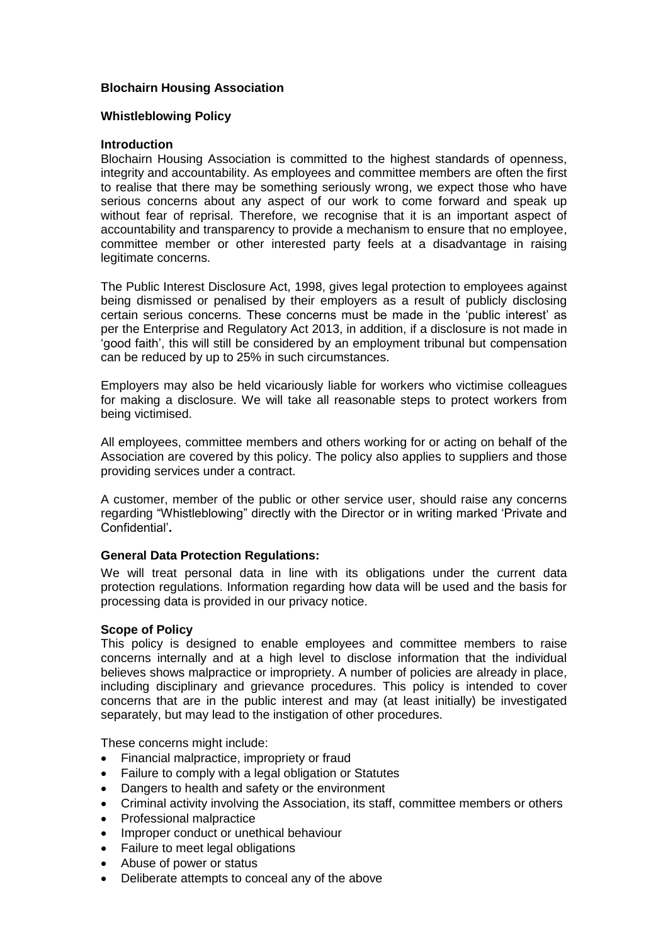# **Blochairn Housing Association**

## **Whistleblowing Policy**

#### **Introduction**

Blochairn Housing Association is committed to the highest standards of openness, integrity and accountability. As employees and committee members are often the first to realise that there may be something seriously wrong, we expect those who have serious concerns about any aspect of our work to come forward and speak up without fear of reprisal. Therefore, we recognise that it is an important aspect of accountability and transparency to provide a mechanism to ensure that no employee, committee member or other interested party feels at a disadvantage in raising legitimate concerns.

The Public Interest Disclosure Act, 1998, gives legal protection to employees against being dismissed or penalised by their employers as a result of publicly disclosing certain serious concerns. These concerns must be made in the 'public interest' as per the Enterprise and Regulatory Act 2013, in addition, if a disclosure is not made in 'good faith', this will still be considered by an employment tribunal but compensation can be reduced by up to 25% in such circumstances.

Employers may also be held vicariously liable for workers who victimise colleagues for making a disclosure. We will take all reasonable steps to protect workers from being victimised.

All employees, committee members and others working for or acting on behalf of the Association are covered by this policy. The policy also applies to suppliers and those providing services under a contract.

A customer, member of the public or other service user, should raise any concerns regarding "Whistleblowing" directly with the Director or in writing marked 'Private and Confidential'**.**

## **General Data Protection Regulations:**

We will treat personal data in line with its obligations under the current data protection regulations. Information regarding how data will be used and the basis for processing data is provided in our privacy notice.

#### **Scope of Policy**

This policy is designed to enable employees and committee members to raise concerns internally and at a high level to disclose information that the individual believes shows malpractice or impropriety. A number of policies are already in place, including disciplinary and grievance procedures. This policy is intended to cover concerns that are in the public interest and may (at least initially) be investigated separately, but may lead to the instigation of other procedures.

These concerns might include:

- Financial malpractice, impropriety or fraud
- Failure to comply with a legal obligation or Statutes
- Dangers to health and safety or the environment
- Criminal activity involving the Association, its staff, committee members or others
- Professional malpractice
- Improper conduct or unethical behaviour
- Failure to meet legal obligations
- Abuse of power or status
- Deliberate attempts to conceal any of the above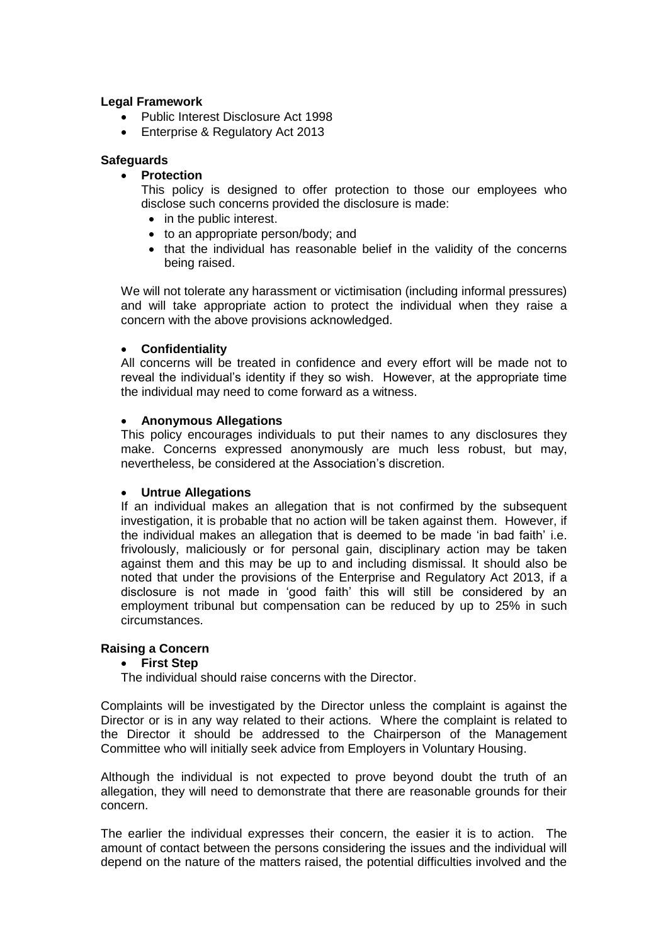## **Legal Framework**

- Public Interest Disclosure Act 1998
- Enterprise & Regulatory Act 2013

## **Safeguards**

## **Protection**

This policy is designed to offer protection to those our employees who disclose such concerns provided the disclosure is made:

- in the public interest.
- to an appropriate person/body; and
- that the individual has reasonable belief in the validity of the concerns being raised.

We will not tolerate any harassment or victimisation (including informal pressures) and will take appropriate action to protect the individual when they raise a concern with the above provisions acknowledged.

## **Confidentiality**

All concerns will be treated in confidence and every effort will be made not to reveal the individual's identity if they so wish. However, at the appropriate time the individual may need to come forward as a witness.

## **Anonymous Allegations**

This policy encourages individuals to put their names to any disclosures they make. Concerns expressed anonymously are much less robust, but may, nevertheless, be considered at the Association's discretion.

#### **Untrue Allegations**

If an individual makes an allegation that is not confirmed by the subsequent investigation, it is probable that no action will be taken against them. However, if the individual makes an allegation that is deemed to be made 'in bad faith' i.e. frivolously, maliciously or for personal gain, disciplinary action may be taken against them and this may be up to and including dismissal. It should also be noted that under the provisions of the Enterprise and Regulatory Act 2013, if a disclosure is not made in 'good faith' this will still be considered by an employment tribunal but compensation can be reduced by up to 25% in such circumstances.

# **Raising a Concern**

# **First Step**

The individual should raise concerns with the Director.

Complaints will be investigated by the Director unless the complaint is against the Director or is in any way related to their actions. Where the complaint is related to the Director it should be addressed to the Chairperson of the Management Committee who will initially seek advice from Employers in Voluntary Housing.

Although the individual is not expected to prove beyond doubt the truth of an allegation, they will need to demonstrate that there are reasonable grounds for their concern.

The earlier the individual expresses their concern, the easier it is to action. The amount of contact between the persons considering the issues and the individual will depend on the nature of the matters raised, the potential difficulties involved and the